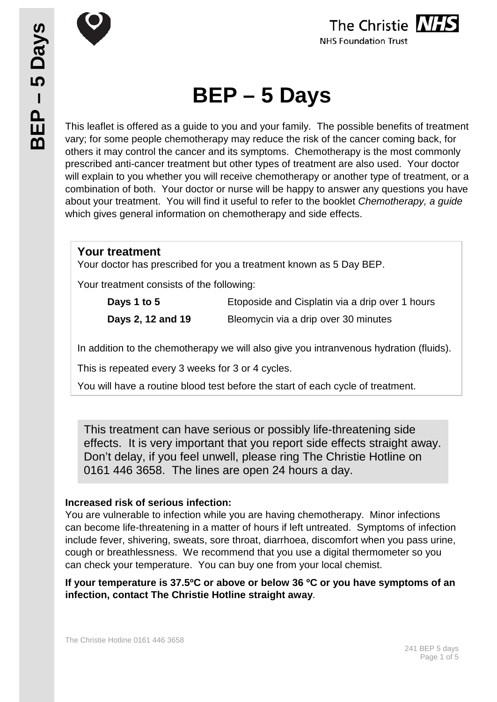

The Christie NHS **NHS Foundation Trust** 

# **BEP – 5 Days**

This leaflet is offered as a guide to you and your family. The possible benefits of treatment vary; for some people chemotherapy may reduce the risk of the cancer coming back, for others it may control the cancer and its symptoms. Chemotherapy is the most commonly prescribed anti-cancer treatment but other types of treatment are also used. Your doctor will explain to you whether you will receive chemotherapy or another type of treatment, or a combination of both. Your doctor or nurse will be happy to answer any questions you have about your treatment. You will find it useful to refer to the booklet *Chemotherapy, a guide* which gives general information on chemotherapy and side effects.

#### **Your treatment**

Your doctor has prescribed for you a treatment known as 5 Day BEP.

Your treatment consists of the following:

| Days 1 to 5       | Etoposide and Cisplatin via a drip over 1 hours |
|-------------------|-------------------------------------------------|
| Days 2, 12 and 19 | Bleomycin via a drip over 30 minutes            |

In addition to the chemotherapy we will also give you intranvenous hydration (fluids).

This is repeated every 3 weeks for 3 or 4 cycles.

You will have a routine blood test before the start of each cycle of treatment.

This treatment can have serious or possibly life-threatening side effects. It is very important that you report side effects straight away. Don't delay, if you feel unwell, please ring The Christie Hotline on 0161 446 3658. The lines are open 24 hours a day.

#### **Increased risk of serious infection:**

You are vulnerable to infection while you are having chemotherapy. Minor infections can become life-threatening in a matter of hours if left untreated. Symptoms of infection include fever, shivering, sweats, sore throat, diarrhoea, discomfort when you pass urine, cough or breathlessness. We recommend that you use a digital thermometer so you can check your temperature. You can buy one from your local chemist.

**If your temperature is 37.5ºC or above or below 36 ºC or you have symptoms of an infection, contact The Christie Hotline straight away**.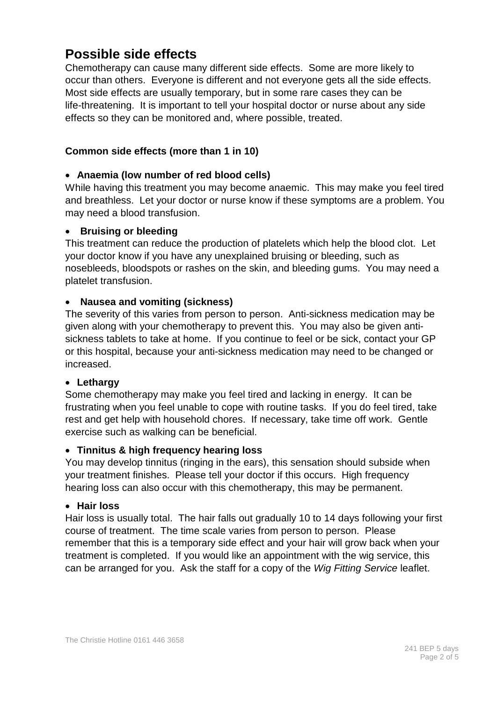# **Possible side effects**

Chemotherapy can cause many different side effects. Some are more likely to occur than others. Everyone is different and not everyone gets all the side effects. Most side effects are usually temporary, but in some rare cases they can be life-threatening. It is important to tell your hospital doctor or nurse about any side effects so they can be monitored and, where possible, treated.

#### **Common side effects (more than 1 in 10)**

#### • **Anaemia (low number of red blood cells)**

While having this treatment you may become anaemic. This may make you feel tired and breathless. Let your doctor or nurse know if these symptoms are a problem. You may need a blood transfusion.

#### • **Bruising or bleeding**

This treatment can reduce the production of platelets which help the blood clot. Let your doctor know if you have any unexplained bruising or bleeding, such as nosebleeds, bloodspots or rashes on the skin, and bleeding gums. You may need a platelet transfusion.

#### • **Nausea and vomiting (sickness)**

The severity of this varies from person to person. Anti-sickness medication may be given along with your chemotherapy to prevent this. You may also be given antisickness tablets to take at home. If you continue to feel or be sick, contact your GP or this hospital, because your anti-sickness medication may need to be changed or increased.

#### • **Lethargy**

Some chemotherapy may make you feel tired and lacking in energy. It can be frustrating when you feel unable to cope with routine tasks. If you do feel tired, take rest and get help with household chores. If necessary, take time off work. Gentle exercise such as walking can be beneficial.

#### • **Tinnitus & high frequency hearing loss**

You may develop tinnitus (ringing in the ears), this sensation should subside when your treatment finishes. Please tell your doctor if this occurs. High frequency hearing loss can also occur with this chemotherapy, this may be permanent.

#### • **Hair loss**

Hair loss is usually total. The hair falls out gradually 10 to 14 days following your first course of treatment. The time scale varies from person to person. Please remember that this is a temporary side effect and your hair will grow back when your treatment is completed. If you would like an appointment with the wig service, this can be arranged for you. Ask the staff for a copy of the *Wig Fitting Service* leaflet.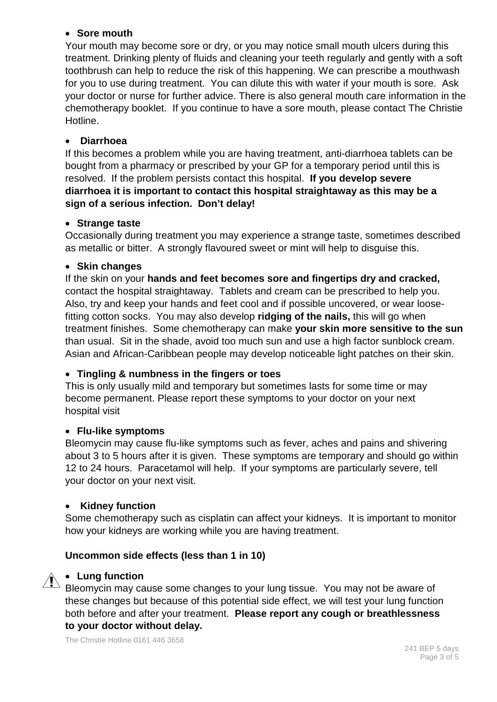#### • **Sore mouth**

Your mouth may become sore or dry, or you may notice small mouth ulcers during this treatment. Drinking plenty of fluids and cleaning your teeth regularly and gently with a soft toothbrush can help to reduce the risk of this happening. We can prescribe a mouthwash for you to use during treatment. You can dilute this with water if your mouth is sore. Ask your doctor or nurse for further advice. There is also general mouth care information in the chemotherapy booklet. If you continue to have a sore mouth, please contact The Christie Hotline.

#### • **Diarrhoea**

If this becomes a problem while you are having treatment, anti-diarrhoea tablets can be bought from a pharmacy or prescribed by your GP for a temporary period until this is resolved. If the problem persists contact this hospital. **If you develop severe diarrhoea it is important to contact this hospital straightaway as this may be a sign of a serious infection. Don't delay!**

#### • **Strange taste**

Occasionally during treatment you may experience a strange taste, sometimes described as metallic or bitter. A strongly flavoured sweet or mint will help to disguise this.

#### • **Skin changes**

If the skin on your **hands and feet becomes sore and fingertips dry and cracked,** contact the hospital straightaway. Tablets and cream can be prescribed to help you. Also, try and keep your hands and feet cool and if possible uncovered, or wear loosefitting cotton socks. You may also develop **ridging of the nails,** this will go when treatment finishes. Some chemotherapy can make **your skin more sensitive to the sun** than usual. Sit in the shade, avoid too much sun and use a high factor sunblock cream. Asian and African-Caribbean people may develop noticeable light patches on their skin.

#### • **Tingling & numbness in the fingers or toes**

This is only usually mild and temporary but sometimes lasts for some time or may become permanent. Please report these symptoms to your doctor on your next hospital visit

#### • **Flu-like symptoms**

Bleomycin may cause flu-like symptoms such as fever, aches and pains and shivering about 3 to 5 hours after it is given. These symptoms are temporary and should go within 12 to 24 hours. Paracetamol will help. If your symptoms are particularly severe, tell your doctor on your next visit.

#### • **Kidney function**

Some chemotherapy such as cisplatin can affect your kidneys. It is important to monitor how your kidneys are working while you are having treatment.

#### **Uncommon side effects (less than 1 in 10)**



#### • **Lung function**

Bleomycin may cause some changes to your lung tissue. You may not be aware of these changes but because of this potential side effect, we will test your lung function both before and after your treatment. **Please report any cough or breathlessness to your doctor without delay.**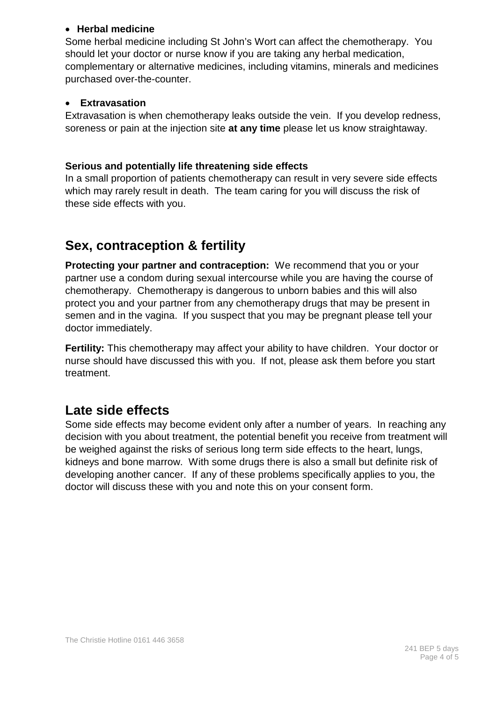#### • **Herbal medicine**

Some herbal medicine including St John's Wort can affect the chemotherapy. You should let your doctor or nurse know if you are taking any herbal medication, complementary or alternative medicines, including vitamins, minerals and medicines purchased over-the-counter.

#### • **Extravasation**

Extravasation is when chemotherapy leaks outside the vein. If you develop redness, soreness or pain at the injection site **at any time** please let us know straightaway.

#### **Serious and potentially life threatening side effects**

In a small proportion of patients chemotherapy can result in very severe side effects which may rarely result in death. The team caring for you will discuss the risk of these side effects with you.

## **Sex, contraception & fertility**

**Protecting your partner and contraception:** We recommend that you or your partner use a condom during sexual intercourse while you are having the course of chemotherapy. Chemotherapy is dangerous to unborn babies and this will also protect you and your partner from any chemotherapy drugs that may be present in semen and in the vagina. If you suspect that you may be pregnant please tell your doctor immediately.

**Fertility:** This chemotherapy may affect your ability to have children. Your doctor or nurse should have discussed this with you. If not, please ask them before you start treatment.

## **Late side effects**

Some side effects may become evident only after a number of years. In reaching any decision with you about treatment, the potential benefit you receive from treatment will be weighed against the risks of serious long term side effects to the heart, lungs, kidneys and bone marrow. With some drugs there is also a small but definite risk of developing another cancer. If any of these problems specifically applies to you, the doctor will discuss these with you and note this on your consent form.